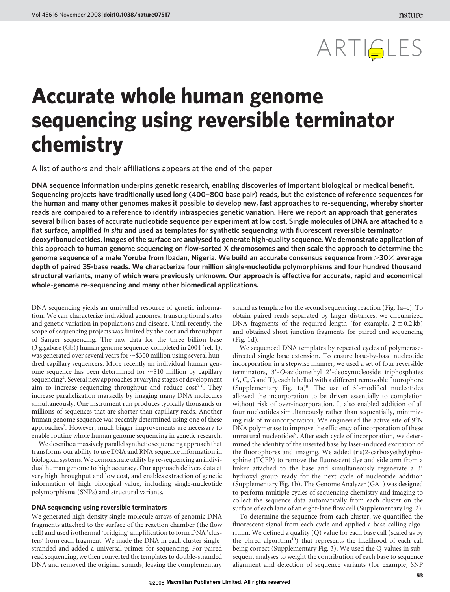# ARTISLES

## Accurate whole human genome sequencing using reversible terminator chemistry

A list of authors and their affiliations appears at the end of the paper

DNA sequence information underpins genetic research, enabling discoveries of important biological or medical benefit. Sequencing projects have traditionally used long (400–800 base pair) reads, but the existence of reference sequences for the human and many other genomes makes it possible to develop new, fast approaches to re-sequencing, whereby shorter reads are compared to a reference to identify intraspecies genetic variation. Here we report an approach that generates several billion bases of accurate nucleotide sequence per experiment at low cost. Single molecules of DNA are attached to a flat surface, amplified in situ and used as templates for synthetic sequencing with fluorescent reversible terminator deoxyribonucleotides. Images of the surface are analysed to generate high-quality sequence. We demonstrate application of this approach to human genome sequencing on flow-sorted X chromosomes and then scale the approach to determine the genome sequence of a male Yoruba from Ibadan, Nigeria. We build an accurate consensus sequence from  $>$ 30 $\times$  average depth of paired 35-base reads. We characterize four million single-nucleotide polymorphisms and four hundred thousand structural variants, many of which were previously unknown. Our approach is effective for accurate, rapid and economical whole-genome re-sequencing and many other biomedical applications.

DNA sequencing yields an unrivalled resource of genetic information. We can characterize individual genomes, transcriptional states and genetic variation in populations and disease. Until recently, the scope of sequencing projects was limited by the cost and throughput of Sanger sequencing. The raw data for the three billion base (3 gigabase (Gb)) human genome sequence, completed in 2004 (ref. 1), was generated over several years for  $\sim$  \$300 million using several hundred capillary sequencers. More recently an individual human genome sequence has been determined for  $\sim$ \$10 million by capillary sequencing<sup>2</sup>. Several new approaches at varying stages of development aim to increase sequencing throughput and reduce  $cost<sup>3–6</sup>$ . They increase parallelization markedly by imaging many DNA molecules simultaneously. One instrument run produces typically thousands or millions of sequences that are shorter than capillary reads. Another human genome sequence was recently determined using one of these approaches<sup>7</sup>. However, much bigger improvements are necessary to enable routine whole human genome sequencing in genetic research.

We describe a massively parallel synthetic sequencing approach that transforms our ability to use DNA and RNA sequence information in biological systems.We demonstrate utility by re-sequencing an individual human genome to high accuracy. Our approach delivers data at very high throughput and low cost, and enables extraction of genetic information of high biological value, including single-nucleotide polymorphisms (SNPs) and structural variants.

#### DNA sequencing using reversible terminators

We generated high-density single-molecule arrays of genomic DNA fragments attached to the surface of the reaction chamber (the flow cell) and used isothermal 'bridging' amplification to form DNA 'clusters' from each fragment. We made the DNA in each cluster singlestranded and added a universal primer for sequencing. For paired read sequencing, we then converted the templates to double-stranded DNA and removed the original strands, leaving the complementary

strand as template for the second sequencing reaction (Fig. 1a–c). To obtain paired reads separated by larger distances, we circularized DNA fragments of the required length (for example,  $2 \pm 0.2$  kb) and obtained short junction fragments for paired end sequencing (Fig. 1d).

We sequenced DNA templates by repeated cycles of polymerasedirected single base extension. To ensure base-by-base nucleotide incorporation in a stepwise manner, we used a set of four reversible terminators, 3'-O-azidomethyl 2'-deoxynucleoside triphosphates (A, C, G and T), each labelled with a different removable fluorophore (Supplementary Fig.  $1a$ )<sup>8</sup>. The use of 3'-modified nucleotides allowed the incorporation to be driven essentially to completion without risk of over-incorporation. It also enabled addition of all four nucleotides simultaneously rather than sequentially, minimizing risk of misincorporation. We engineered the active site of  $9^{\circ}N$ DNA polymerase to improve the efficiency of incorporation of these unnatural nucleotides<sup>9</sup>. After each cycle of incorporation, we determined the identity of the inserted base by laser-induced excitation of the fluorophores and imaging. We added tris(2-carboxyethyl)phosphine (TCEP) to remove the fluorescent dye and side arm from a linker attached to the base and simultaneously regenerate a 3' hydroxyl group ready for the next cycle of nucleotide addition (Supplementary Fig. 1b). The Genome Analyzer (GA1) was designed to perform multiple cycles of sequencing chemistry and imaging to collect the sequence data automatically from each cluster on the surface of each lane of an eight-lane flow cell (Supplementary Fig. 2).

To determine the sequence from each cluster, we quantified the fluorescent signal from each cycle and applied a base-calling algorithm. We defined a quality (Q) value for each base call (scaled as by the phred algorithm<sup>10</sup>) that represents the likelihood of each call being correct (Supplementary Fig. 3). We used the Q-values in subsequent analyses to weight the contribution of each base to sequence alignment and detection of sequence variants (for example, SNP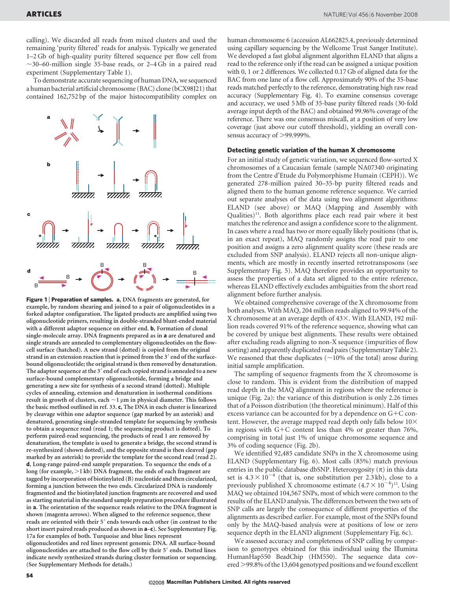calling). We discarded all reads from mixed clusters and used the remaining 'purity filtered' reads for analysis. Typically we generated 1–2 Gb of high-quality purity filtered sequence per flow cell from  $\sim$ 30–60-million single 35-base reads, or 2–4 Gb in a paired read experiment (Supplementary Table 1).

To demonstrate accurate sequencing of human DNA, we sequenced a human bacterial artificial chromosome (BAC) clone (bCX98J21) that contained 162,752 bp of the major histocompatibility complex on



Figure 1 | Preparation of samples. a, DNA fragments are generated, for example, by random shearing and joined to a pair of oligonucleotides in a forked adaptor configuration. The ligated products are amplified using two oligonucleotide primers, resulting in double-stranded blunt-ended material with a different adaptor sequence on either end. b, Formation of clonal single-molecule array. DNA fragments prepared as in a are denatured and single strands are annealed to complementary oligonucleotides on the flowcell surface (hatched). A new strand (dotted) is copied from the original strand in an extension reaction that is primed from the 3' end of the surfacebound oligonucleotide; the original strand is then removed by denaturation. The adaptor sequence at the 3' end of each copied strand is annealed to a new surface-bound complementary oligonucleotide, forming a bridge and generating a new site for synthesis of a second strand (dotted). Multiple cycles of annealing, extension and denaturation in isothermal conditions result in growth of clusters, each  $\sim$ 1  $\mu$ m in physical diameter. This follows the basic method outlined in ref. 33. c, The DNA in each cluster is linearized by cleavage within one adaptor sequence (gap marked by an asterisk) and denatured, generating single-stranded template for sequencing by synthesis to obtain a sequence read (read 1; the sequencing product is dotted). To perform paired-read sequencing, the products of read 1 are removed by denaturation, the template is used to generate a bridge, the second strand is re-synthesized (shown dotted), and the opposite strand is then cleaved (gap marked by an asterisk) to provide the template for the second read (read 2). d, Long-range paired-end sample preparation. To sequence the ends of a long (for example,  $>1$  kb) DNA fragment, the ends of each fragment are tagged by incorporation of biotinylated (B) nucleotide and then circularized, forming a junction between the two ends. Circularized DNA is randomly fragmented and the biotinylated junction fragments are recovered and used as starting material in the standard sample preparation procedure illustrated in a. The orientation of the sequence reads relative to the DNA fragment is shown (magenta arrows). When aligned to the reference sequence, these reads are oriented with their 5' ends towards each other (in contrast to the short insert paired reads produced as shown in  $a-c$ ). See Supplementary Fig. 17a for examples of both. Turquoise and blue lines represent oligonucleotides and red lines represent genomic DNA. All surface-bound oligonucleotides are attached to the flow cell by their 5' ends. Dotted lines

indicate newly synthesized strands during cluster formation or sequencing.

(See Supplementary Methods for details.)

human chromosome 6 (accession AL662825.4, previously determined using capillary sequencing by the Wellcome Trust Sanger Institute). We developed a fast global alignment algorithm ELAND that aligns a read to the reference only if the read can be assigned a unique position with 0, 1 or 2 differences. We collected 0.17 Gb of aligned data for the BAC from one lane of a flow cell. Approximately 90% of the 35-base reads matched perfectly to the reference, demonstrating high raw read accuracy (Supplementary Fig. 4). To examine consensus coverage and accuracy, we used 5 Mb of 35-base purity filtered reads (30-fold average input depth of the BAC) and obtained 99.96% coverage of the reference. There was one consensus miscall, at a position of very low coverage (just above our cutoff threshold), yielding an overall consensus accuracy of  $>99.999\%$ .

#### Detecting genetic variation of the human X chromosome

For an initial study of genetic variation, we sequenced flow-sorted X chromosomes of a Caucasian female (sample NA07340 originating from the Centre d'Etude du Polymorphisme Humain (CEPH)). We generated 278-million paired 30–35-bp purity filtered reads and aligned them to the human genome reference sequence. We carried out separate analyses of the data using two alignment algorithms: ELAND (see above) or MAQ (Mapping and Assembly with Qualities) $11$ . Both algorithms place each read pair where it best matches the reference and assign a confidence score to the alignment. In cases where a read has two or more equally likely positions (that is, in an exact repeat), MAQ randomly assigns the read pair to one position and assigns a zero alignment quality score (these reads are excluded from SNP analysis). ELAND rejects all non-unique alignments, which are mostly in recently inserted retrotransposons (see Supplementary Fig. 5). MAQ therefore provides an opportunity to assess the properties of a data set aligned to the entire reference, whereas ELAND effectively excludes ambiguities from the short read alignment before further analysis.

We obtained comprehensive coverage of the X chromosome from both analyses. With MAQ, 204 million reads aligned to 99.94% of the X chromosome at an average depth of  $43\times$ . With ELAND, 192 million reads covered 91% of the reference sequence, showing what can be covered by unique best alignments. These results were obtained after excluding reads aligning to non-X sequence (impurities of flow sorting) and apparently duplicated read pairs (Supplementary Table 2). We reasoned that these duplicates  $(\sim 10\%$  of the total) arose during initial sample amplification.

The sampling of sequence fragments from the X chromosome is close to random. This is evident from the distribution of mapped read depth in the MAQ alignment in regions where the reference is unique (Fig. 2a): the variance of this distribution is only 2.26 times that of a Poisson distribution (the theoretical minimum). Half of this excess variance can be accounted for by a dependence on  $G+C$  content. However, the average mapped read depth only falls below  $10\times$ in regions with  $G+C$  content less than 4% or greater than 76%, comprising in total just 1% of unique chromosome sequence and 3% of coding sequence (Fig. 2b).

We identified 92,485 candidate SNPs in the X chromosome using ELAND (Supplementary Fig. 6). Most calls (85%) match previous entries in the public database dbSNP. Heterozygosity  $(\pi)$  in this data set is  $4.3 \times 10^{-4}$  (that is, one substitution per 2.3 kb), close to a previously published X chromosome estimate  $(4.7 \times 10^{-4})^{12}$ . Using MAQ we obtained 104,567 SNPs, most of which were common to the results of the ELAND analysis. The differences between the two sets of SNP calls are largely the consequence of different properties of the alignments as described earlier. For example, most of the SNPs found only by the MAQ-based analysis were at positions of low or zero sequence depth in the ELAND alignment (Supplementary Fig. 6c).

We assessed accuracy and completeness of SNP calling by comparison to genotypes obtained for this individual using the Illumina HumanHap550 BeadChip (HM550). The sequence data covered >99.8% of the 13,604 genotyped positions and we found excellent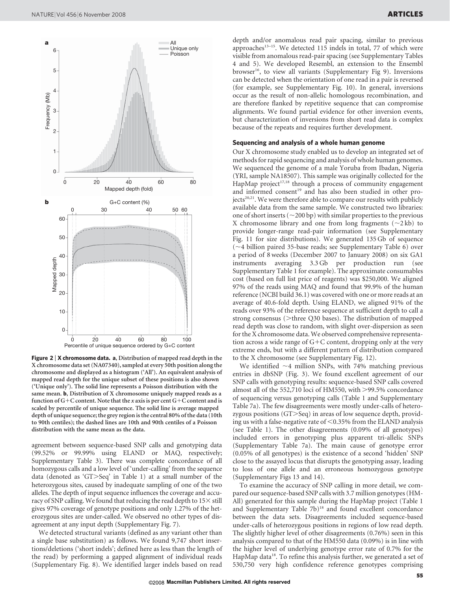

Figure 2 | X chromosome data. a, Distribution of mapped read depth in the X chromosome data set (NA07340), sampled at every 50th position along the chromosome and displayed as a histogram ('All'). An equivalent analysis of mapped read depth for the unique subset of these positions is also shown ('Unique only'). The solid line represents a Poisson distribution with the same mean. **b**, Distribution of X chromosome uniquely mapped reads as a function of  $G+C$  content. Note that the *x* axis is per cent  $G+C$  content and is scaled by percentile of unique sequence. The solid line is average mapped depth of unique sequence; the grey region is the central 80% of the data (10th to 90th centiles); the dashed lines are 10th and 90th centiles of a Poisson distribution with the same mean as the data.

agreement between sequence-based SNP calls and genotyping data (99.52% or 99.99% using ELAND or MAQ, respectively; Supplementary Table 3). There was complete concordance of all homozygous calls and a low level of 'under-calling' from the sequence data (denoted as 'GT $>$ Seq' in Table 1) at a small number of the heterozygous sites, caused by inadequate sampling of one of the two alleles. The depth of input sequence influences the coverage and accuracy of SNP calling. We found that reducing the read depth to  $15\times$  still gives 97% coverage of genotype positions and only 1.27% of the heterozygous sites are under-called. We observed no other types of disagreement at any input depth (Supplementary Fig. 7).

We detected structural variants (defined as any variant other than a single base substitution) as follows. We found 9,747 short insertions/deletions ('short indels'; defined here as less than the length of the read) by performing a gapped alignment of individual reads (Supplementary Fig. 8). We identified larger indels based on read

depth and/or anomalous read pair spacing, similar to previous approaches<sup>13-15</sup>. We detected 115 indels in total, 77 of which were visible from anomalous read-pair spacing (see Supplementary Tables 4 and 5). We developed Resembl, an extension to the Ensembl browser<sup>16</sup>, to view all variants (Supplementary Fig 9). Inversions can be detected when the orientation of one read in a pair is reversed (for example, see Supplementary Fig. 10). In general, inversions occur as the result of non-allelic homologous recombination, and are therefore flanked by repetitive sequence that can compromise alignments. We found partial evidence for other inversion events, but characterization of inversions from short read data is complex because of the repeats and requires further development.

#### Sequencing and analysis of a whole human genome

Our X chromosome study enabled us to develop an integrated set of methods for rapid sequencing and analysis of whole human genomes. We sequenced the genome of a male Yoruba from Ibadan, Nigeria (YRI, sample NA18507). This sample was originally collected for the HapMap project $17,18$  through a process of community engagement and informed consent<sup>19</sup> and has also been studied in other projects<sup>20,21</sup>. We were therefore able to compare our results with publicly available data from the same sample. We constructed two libraries: one of short inserts ( $\sim$ 200 bp) with similar properties to the previous X chromosome library and one from long fragments  $(\sim 2 \text{ kb})$  to provide longer-range read-pair information (see Supplementary Fig. 11 for size distributions). We generated 135 Gb of sequence  $(\sim4$  billion paired 35-base reads; see Supplementary Table 6) over a period of 8 weeks (December 2007 to January 2008) on six GA1 instruments averaging 3.3 Gb per production run (see Supplementary Table 1 for example). The approximate consumables cost (based on full list price of reagents) was \$250,000. We aligned 97% of the reads using MAQ and found that 99.9% of the human reference (NCBI build 36.1) was covered with one or more reads at an average of 40.6-fold depth. Using ELAND, we aligned 91% of the reads over 93% of the reference sequence at sufficient depth to call a strong consensus ( $\geq$ three Q30 bases). The distribution of mapped read depth was close to random, with slight over-dispersion as seen for the X chromosome data. We observed comprehensive representation across a wide range of  $G+C$  content, dropping only at the very extreme ends, but with a different pattern of distribution compared to the X chromosome (see Supplementary Fig. 12).

We identified  $\sim$ 4 million SNPs, with 74% matching previous entries in dbSNP (Fig. 3). We found excellent agreement of our SNP calls with genotyping results: sequence-based SNP calls covered almost all of the 552,710 loci of HM550, with  $>$ 99.5% concordance of sequencing versus genotyping calls (Table 1 and Supplementary Table 7a). The few disagreements were mostly under-calls of heterozygous positions  $(GT > Seq)$  in areas of low sequence depth, providing us with a false-negative rate of  $\leq 0.35\%$  from the ELAND analysis (see Table 1). The other disagreements (0.09% of all genotypes) included errors in genotyping plus apparent tri-allelic SNPs (Supplementary Table 7a). The main cause of genotype error (0.05% of all genotypes) is the existence of a second 'hidden' SNP close to the assayed locus that disrupts the genotyping assay, leading to loss of one allele and an erroneous homozygous genotype (Supplementary Figs 13 and 14).

To examine the accuracy of SNP calling in more detail, we compared our sequence-based SNP calls with 3.7 million genotypes (HM-All) generated for this sample during the HapMap project (Table 1 and Supplementary Table 7b)<sup>18</sup> and found excellent concordance between the data sets. Disagreements included sequence-based under-calls of heterozygous positions in regions of low read depth. The slightly higher level of other disagreements (0.76%) seen in this analysis compared to that of the HM550 data (0.09%) is in line with the higher level of underlying genotype error rate of 0.7% for the HapMap data<sup>18</sup>. To refine this analysis further, we generated a set of 530,750 very high confidence reference genotypes comprising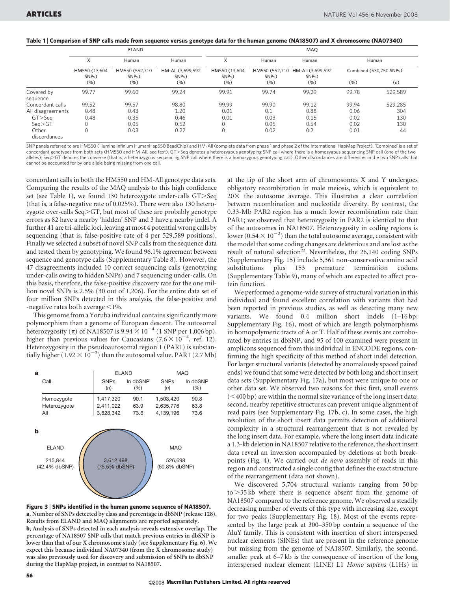| Table 1   Comparison of SNP calls made from sequence versus genotype data for the human genome (NA18507) and X chromosome (NA07340) |  |  |  |
|-------------------------------------------------------------------------------------------------------------------------------------|--|--|--|
|-------------------------------------------------------------------------------------------------------------------------------------|--|--|--|

|                        | <b>ELAND</b>                                     |                                                      |                                                          | MAO                                              |                                                       |                                                          |                                  |         |
|------------------------|--------------------------------------------------|------------------------------------------------------|----------------------------------------------------------|--------------------------------------------------|-------------------------------------------------------|----------------------------------------------------------|----------------------------------|---------|
|                        | X<br>HM550 (13,604<br>SNP <sub>s</sub> )<br>(% ) | Human<br>HM550 (552,710<br>SNP <sub>s</sub> )<br>(%) | Human<br>HM-All (3,699,592<br>SNP <sub>s</sub> )<br>(% ) | X<br>HM550 (13,604<br>SNP <sub>s</sub> )<br>(% ) | Human<br>HM550 (552,710<br>SNP <sub>s</sub> )<br>(% ) | Human<br>HM-All (3,699,592<br>SNP <sub>s</sub> )<br>(% ) | Human<br>Combined (530,750 SNPs) |         |
|                        |                                                  |                                                      |                                                          |                                                  |                                                       |                                                          |                                  |         |
|                        |                                                  |                                                      |                                                          |                                                  |                                                       |                                                          | (%)                              | (n)     |
| Covered by<br>sequence | 99.77                                            | 99.60                                                | 99.24                                                    | 99.91                                            | 99.74                                                 | 99.29                                                    | 99.78                            | 529,589 |
| Concordant calls       | 99.52                                            | 99.57                                                | 98.80                                                    | 99.99                                            | 99.90                                                 | 99.12                                                    | 99.94                            | 529,285 |
| All disagreements      | 0.48                                             | 0.43                                                 | 1.20                                                     | 0.01                                             | 0.1                                                   | 0.88                                                     | 0.06                             | 304     |
| $GT >$ Seq             | 0.48                                             | 0.35                                                 | 0.46                                                     | 0.01                                             | 0.03                                                  | 0.15                                                     | 0.02                             | 130     |
| Seq > GT               | 0                                                | 0.05                                                 | 0.52                                                     | 0                                                | 0.05                                                  | 0.54                                                     | 0.02                             | 130     |
| Other<br>discordances  | 0                                                | 0.03                                                 | 0.22                                                     | 0                                                | 0.02                                                  | 0.2                                                      | 0.01                             | 44      |

SNP panels referred to are HM550 (Illumina Infinium HumanHap550 BeadChip) and HM-All (complete data from phase 1 and phase 2 of the International HapMap Project). 'Combined' is a set of concordant genotypes from both sets (HM550 and HM-All; see text). GT>Seq denotes a heterozygous genotyping SNP call where there is a homozygous sequencing SNP call (one of the two alleles); Seq>GT denotes the converse (that is, a heterozygous sequencing SNP call where there is a homozygous genotyping call). Other discordances are differences in the two SNP calls that cannot be accounted for by one allele being missing from one call.

concordant calls in both the HM550 and HM-All genotype data sets. Comparing the results of the MAQ analysis to this high confidence set (see Table 1), we found 130 heterozygote under-calls  $GT >$ Seq (that is, a false-negative rate of 0.025%). There were also 130 heterozygote over-calls  $Seq > GT$ , but most of these are probably genotype errors as 82 have a nearby 'hidden' SNP and 3 have a nearby indel. A further 41 are tri-allelic loci, leaving at most 4 potential wrong calls by sequencing (that is, false-positive rate of 4 per 529,589 positions). Finally we selected a subset of novel SNP calls from the sequence data and tested them by genotyping. We found 96.1% agreement between sequence and genotype calls (Supplementary Table 8). However, the 47 disagreements included 10 correct sequencing calls (genotyping under-calls owing to hidden SNPs) and 7 sequencing under-calls. On this basis, therefore, the false-positive discovery rate for the one million novel SNPs is 2.5% (30 out of 1,206). For the entire data set of four million SNPs detected in this analysis, the false-positive and -negative rates both average  $\leq$ 1%.

This genome from a Yoruba individual contains significantly more polymorphism than a genome of European descent. The autosomal heterozygosity ( $\pi$ ) of NA18507 is 9.94  $\times$  10<sup>-4</sup> (1 SNP per 1,006 bp), higher than previous values for Caucasians  $(7.6 \times 10^{-4}$ , ref. 12). Heterozygosity in the pseudoautosomal region 1 (PAR1) is substantially higher  $(1.92 \times 10^{-3})$  than the autosomal value. PAR1 (2.7 Mb)

| a                                             | <b>ELAND</b>               |          | <b>MAQ</b>                             |          |
|-----------------------------------------------|----------------------------|----------|----------------------------------------|----------|
| Call                                          | <b>SNPs</b>                | In dbSNP | <b>SNPs</b>                            | In dbSNP |
|                                               | (n)                        | (% )     | (n)                                    | (% )     |
| Homozygote                                    | 1,417,320                  | 90.1     | 1,503,420                              | 90.8     |
| Heterozygote                                  | 2,411,022                  | 63.9     | 2,635,776                              | 63.8     |
| All                                           | 3,828,342                  | 73.6     | 4,139,196                              | 73.6     |
| b<br><b>ELAND</b><br>215,844<br>(42.4% dbSNP) | 3,612,498<br>(75.5% dbSNP) |          | <b>MAQ</b><br>526,698<br>(60.8% dbSNP) |          |

Figure 3 <sup>|</sup> SNPs identified in the human genome sequence of NA18507. a, Number of SNPs detected by class and percentage in dbSNP (release 128). Results from ELAND and MAQ alignments are reported separately. b, Analysis of SNPs detected in each analysis reveals extensive overlap. The percentage of NA18507 SNP calls that match previous entries in dbSNP is lower than that of our X chromosome study (see Supplementary Fig. 6). We expect this because individual NA07340 (from the X chromosome study) was also previously used for discovery and submission of SNPs to dbSNP during the HapMap project, in contrast to NA18507.

at the tip of the short arm of chromosomes X and Y undergoes obligatory recombination in male meiosis, which is equivalent to  $20\times$  the autosome average. This illustrates a clear correlation between recombination and nucleotide diversity. By contrast, the 0.33-Mb PAR2 region has a much lower recombination rate than PAR1; we observed that heterozygosity in PAR2 is identical to that of the autosomes in NA18507. Heterozygosity in coding regions is lower ( $0.54 \times 10^{-3}$ ) than the total autosome average, consistent with the model that some coding changes are deleterious and are lost as the result of natural selection<sup>22</sup>. Nevertheless, the  $26,140$  coding SNPs (Supplementary Fig. 15) include 5,361 non-conservative amino acid substitutions plus 153 premature termination codons (Supplementary Table 9), many of which are expected to affect protein function.

We performed a genome-wide survey of structural variation in this individual and found excellent correlation with variants that had been reported in previous studies, as well as detecting many new variants. We found 0.4 million short indels (1–16 bp; Supplementary Fig. 16), most of which are length polymorphisms in homopolymeric tracts of A or T. Half of these events are corroborated by entries in dbSNP, and 95 of 100 examined were present in amplicons sequenced from this individual in ENCODE regions, confirming the high specificity of this method of short indel detection. For larger structural variants (detected by anomalously spaced paired ends) we found that some were detected by both long and short insert data sets (Supplementary Fig. 17a), but most were unique to one or other data set. We observed two reasons for this: first, small events  $(<$ 400 bp) are within the normal size variance of the long insert data; second, nearby repetitive structures can prevent unique alignment of read pairs (see Supplementary Fig. 17b, c). In some cases, the high resolution of the short insert data permits detection of additional complexity in a structural rearrangement that is not revealed by the long insert data. For example, where the long insert data indicate a 1.3-kb deletion in NA18507 relative to the reference, the short insert data reveal an inversion accompanied by deletions at both breakpoints (Fig. 4). We carried out de novo assembly of reads in this region and constructed a single contig that defines the exact structure of the rearrangement (data not shown).

We discovered 5,704 structural variants ranging from 50 bp  $to$   $>$ 35 kb where there is sequence absent from the genome of NA18507 compared to the reference genome. We observed a steadily decreasing number of events of this type with increasing size, except for two peaks (Supplementary Fig. 18). Most of the events represented by the large peak at 300–350 bp contain a sequence of the AluY family. This is consistent with insertion of short interspersed nuclear elements (SINEs) that are present in the reference genome but missing from the genome of NA18507. Similarly, the second, smaller peak at 6–7 kb is the consequence of insertion of the long interspersed nuclear element (LINE) L1 Homo sapiens (L1Hs) in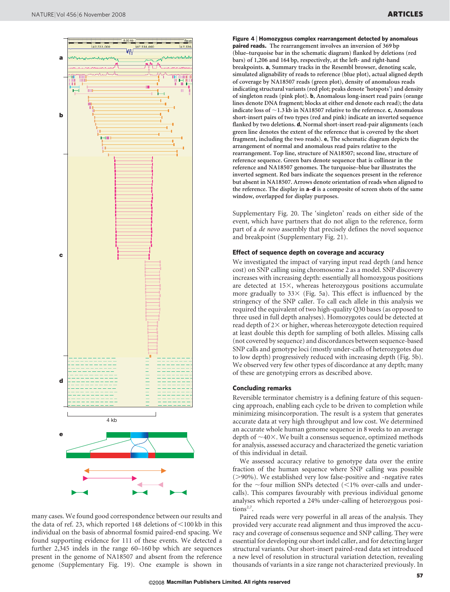



Figure 4 | Homozygous complex rearrangement detected by anomalous paired reads. The rearrangement involves an inversion of 369 bp (blue–turquoise bar in the schematic diagram) flanked by deletions (red bars) of 1,206 and 164 bp, respectively, at the left- and right-hand breakpoints. a, Summary tracks in the Resembl browser, denoting scale, simulated alignability of reads to reference (blue plot), actual aligned depth of coverage by NA18507 reads (green plot), density of anomalous reads indicating structural variants (red plot; peaks denote 'hotspots') and density of singleton reads (pink plot). b, Anomalous long-insert read pairs (orange lines denote DNA fragment; blocks at either end denote each read); the data indicate loss of  $\sim$ 1.3 kb in NA18507 relative to the reference. c, Anomalous short-insert pairs of two types (red and pink) indicate an inverted sequence flanked by two deletions. **d**, Normal short-insert read-pair alignments (each green line denotes the extent of the reference that is covered by the short fragment, including the two reads). e, The schematic diagram depicts the arrangement of normal and anomalous read pairs relative to the rearrangement. Top line, structure of NA18507; second line, structure of reference sequence. Green bars denote sequence that is collinear in the reference and NA18507 genomes. The turquoise–blue bar illustrates the inverted segment. Red bars indicate the sequences present in the reference but absent in NA18507. Arrows denote orientation of reads when aligned to the reference. The display in a–d is a composite of screen shots of the same window, overlapped for display purposes.

Supplementary Fig. 20. The 'singleton' reads on either side of the event, which have partners that do not align to the reference, form part of a de novo assembly that precisely defines the novel sequence and breakpoint (Supplementary Fig. 21).

#### Effect of sequence depth on coverage and accuracy

We investigated the impact of varying input read depth (and hence cost) on SNP calling using chromosome 2 as a model. SNP discovery increases with increasing depth: essentially all homozygous positions are detected at  $15\times$ , whereas heterozygous positions accumulate more gradually to  $33 \times$  (Fig. 5a). This effect is influenced by the stringency of the SNP caller. To call each allele in this analysis we required the equivalent of two high-quality Q30 bases (as opposed to three used in full depth analyses). Homozygotes could be detected at read depth of  $2\times$  or higher, whereas heterozygote detection required at least double this depth for sampling of both alleles. Missing calls (not covered by sequence) and discordances between sequence-based SNP calls and genotype loci (mostly under-calls of heterozygotes due to low depth) progressively reduced with increasing depth (Fig. 5b). We observed very few other types of discordance at any depth; many of these are genotyping errors as described above.

#### Concluding remarks

Reversible terminator chemistry is a defining feature of this sequencing approach, enabling each cycle to be driven to completion while minimizing misincorporation. The result is a system that generates accurate data at very high throughput and low cost. We determined an accurate whole human genome sequence in 8 weeks to an average depth of  $\sim$ 40 $\times$ . We built a consensus sequence, optimized methods for analysis, assessed accuracy and characterized the genetic variation of this individual in detail.

We assessed accuracy relative to genotype data over the entire fraction of the human sequence where SNP calling was possible  $(>90\%)$ . We established very low false-positive and -negative rates for the  $\sim$ four million SNPs detected (<1% over-calls and undercalls). This compares favourably with previous individual genome analyses which reported a 24% under-calling of heterozygous positions<sup>2,7</sup>.

Paired reads were very powerful in all areas of the analysis. They provided very accurate read alignment and thus improved the accuracy and coverage of consensus sequence and SNP calling. They were essential for developing our short indel caller, and for detecting larger structural variants. Our short-insert paired-read data set introduced a new level of resolution in structural variation detection, revealing thousands of variants in a size range not characterized previously. In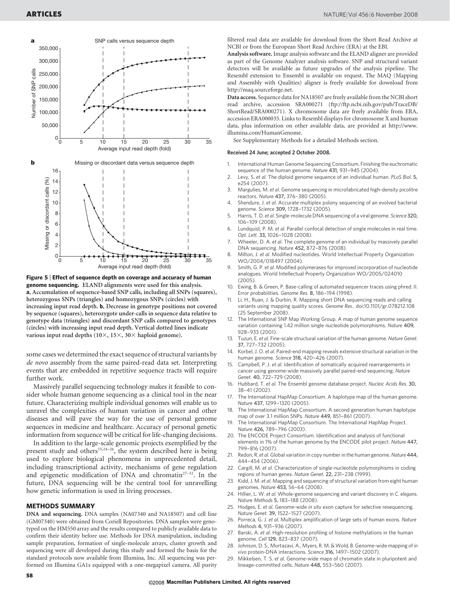

Figure 5 <sup>|</sup> Effect of sequence depth on coverage and accuracy of human genome sequencing. ELAND alignments were used for this analysis. a, Accumulation of sequence-based SNP calls, including all SNPs (squares), heterozygous SNPs (triangles) and homozygous SNPs (circles) with increasing input read depth. b, Decrease in genotype positions not covered by sequence (squares), heterozygote under-calls in sequence data relative to genotype data (triangles) and discordant SNP calls compared to genotypes (circles) with increasing input read depth. Vertical dotted lines indicate various input read depths  $(10\times, 15\times, 30\times)$  haploid genome).

some cases we determined the exact sequence of structural variants by de novo assembly from the same paired-read data set. Interpreting events that are embedded in repetitive sequence tracts will require further work.

Massively parallel sequencing technology makes it feasible to consider whole human genome sequencing as a clinical tool in the near future. Characterizing multiple individual genomes will enable us to unravel the complexities of human variation in cancer and other diseases and will pave the way for the use of personal genome sequences in medicine and healthcare. Accuracy of personal genetic information from sequence will be critical for life-changing decisions.

In addition to the large-scale genomic projects exemplified by the present study and others<sup>15,24–26</sup>, the system described here is being used to explore biological phenomena in unprecedented detail, including transcriptional activity, mechanisms of gene regulation and epigenetic modification of DNA and chromatin<sup>27-32</sup>. In the future, DNA sequencing will be the central tool for unravelling how genetic information is used in living processes.

#### METHODS SUMMARY

DNA and sequencing. DNA samples (NA07340 and NA18507) and cell line (GM07340) were obtained from Coriell Repositories. DNA samples were genotyped on the HM550 array and the results compared to publicly available data to confirm their identity before use. Methods for DNA manipulation, including sample preparation, formation of single-molecule arrays, cluster growth and sequencing were all developed during this study and formed the basis for the standard protocols now available from Illumina, Inc. All sequencing was performed on Illumina GA1s equipped with a one-megapixel camera. All purity

filtered read data are available for download from the Short Read Archive at NCBI or from the European Short Read Archive (ERA) at the EBI.

Analysis software. Image analysis software and the ELAND aligner are provided as part of the Genome Analyzer analysis software. SNP and structural variant detectors will be available as future upgrades of the analysis pipeline. The Resembl extension to Ensembl is available on request. The MAQ (Mapping and Assembly with Qualities) aligner is freely available for download from <http://maq.sourceforge.net>.

Data access. Sequence data for NA18507 are freely available from the NCBI short read archive, accession SRA000271 ([ftp://ftp.ncbi.nih.gov/pub/TraceDB/](ftp://ftp.ncbi.nih.gov/pub/TraceDB/ShortRead/SRA000271) [ShortRead/SRA000271\)](ftp://ftp.ncbi.nih.gov/pub/TraceDB/ShortRead/SRA000271). X chromosome data are freely available from ERA, accession ERA000035. Links to Resembl displays for chromosome X and human data, plus information on other available data, are provided at [http://www.](http://www.illumina.com/HumanGenome) [illumina.com/HumanGenome](http://www.illumina.com/HumanGenome).

See Supplementary Methods for a detailed Methods section.

### Received 24 June; accepted 2 October 2008.

- 1. International Human Genome Sequencing Consortium. Finishing the euchromatic sequence of the human genome. Nature 431, 931–945 (2004).
- 2. Levy, S. et al. The diploid genome sequence of an individual human. PLoS Biol. 5, e254 (2007).
- 3. Margulies, M. et al. Genome sequencing in microfabricated high-density picolitre reactors. Nature 437, 376–380 (2005).
- 4. Shendure, J. et al. Accurate multiplex polony sequencing of an evolved bacterial genome. Science 309, 1728–1732 (2005).
- 5. Harris, T. D. et al. Single-molecule DNA sequencing of a viral genome. Science 320, 106–109 (2008).
- 6. Lundquist, P. M. et al. Parallel confocal detection of single molecules in real time. Opt. Lett. 33, 1026–1028 (2008).
- 7. Wheeler, D. A. et al. The complete genome of an individual by massively parallel DNA sequencing. Nature 452, 872–876 (2008).
- 8. Milton, J. et al. Modified nucleotides. World Intellectual Property Organization WO/2004/018497 (2004).
- 9. Smith, G. P. et al. Modified polymerases for improved incorporation of nucleotide analogues. World Intellectual Property Organization WO/2005/024010 (2005).
- 10. Ewing, B. & Green, P. Base-calling of automated sequencer traces using phred. II. Error probabilities. Genome Res. 8, 186–194 (1998).
- 11. Li, H., Ruan, J. & Durbin, R. Mapping short DNA sequencing reads and calling variants using mapping quality scores. Genome Res.. doi:10.1101/gr.078212.108 (25 September 2008).
- The International SNP Map Working Group. A map of human genome sequence variation containing 1.42 million single nucleotide polymorphisms. Nature 409, 928–933 (2001).
- 13. Tuzun, E. et al. Fine-scale structural variation of the human genome. Nature Genet. 37, 727–732 (2005).
- 14. Korbel, J. O. et al. Paired-end mapping reveals extensive structural variation in the human genome. Science 318, 420–426 (2007).
- 15. Campbell, P. J. et al. Identification of somatically acquired rearrangements in cancer using genome-wide massively parallel paired-end sequencing. Nature Genet. 40, 722–729 (2008).
- 16. Hubbard, T. et al. The Ensembl genome database project. Nucleic Acids Res. 30, 38–41 (2002).
- The International HapMap Consortium. A haplotype map of the human genome. Nature 437, 1299–1320 (2005).
- 18. The International HapMap Consortium. A second generation human haplotype map of over 3.1 million SNPs. Nature 449, 851–861 (2007).
- 19. The International HapMap Consortium. The International HapMap Project. Nature 426, 789–796 (2003).
- 20. The ENCODE Project Consortium. Identification and analysis of functional elements in 1% of the human genome by the ENCODE pilot project. Nature 447, 799–816 (2007).
- 21. Redon, R. et al. Global variation in copy number in the human genome. Nature 444, 444–454 (2006).
- 22. Cargill, M. et al. Characterization of single-nucleotide polymorphisms in coding regions of human genes. Nature Genet. 22, 231–238 (1999).
- 23. Kidd, J. M. et al. Mapping and sequencing of structural variation from eight human genomes. Nature 453, 56–64 (2008).
- 24. Hillier, L. W. et al. Whole-genome sequencing and variant discovery in C. elegans. Nature Methods 5, 183–188 (2008).
- 25. Hodges, E. et al. Genome-wide in situ exon capture for selective resequencing. Nature Genet. 39, 1522–1527 (2007).
- 26. Porreca, G. J. et al. Multiplex amplification of large sets of human exons. Nature Methods 4, 931–936 (2007).
- 27. Barski, A. et al. High-resolution profiling of histone methylations in the human genome. Cell 129, 823–837 (2007).
- 28. Johnson, D. S., Mortazavi, A., Myers, R. M. & Wold, B. Genome-wide mapping of in vivo protein-DNA interactions. Science 316, 1497-1502 (2007).
- Mikkelsen, T. S. et al. Genome-wide maps of chromatin state in pluripotent and lineage-committed cells. Nature 448, 553–560 (2007).